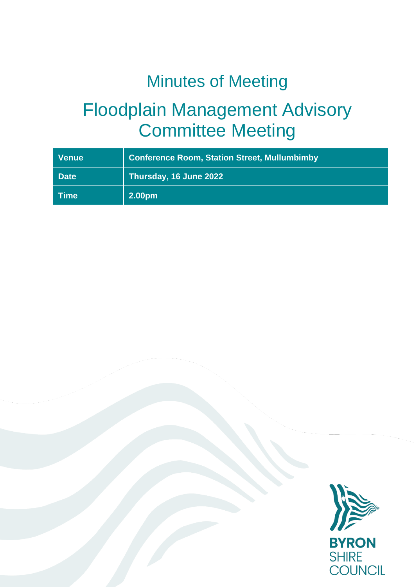# Minutes of Meeting

# Floodplain Management Advisory Committee Meeting

| <b>Venue</b> | <b>Conference Room, Station Street, Mullumbimby</b> |
|--------------|-----------------------------------------------------|
| <b>Date</b>  | Thursday, 16 June 2022                              |
| ∣ Time       | 2.00pm                                              |

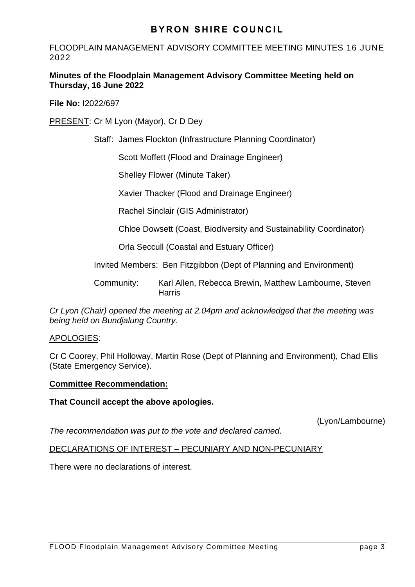FLOODPLAIN MANAGEMENT ADVISORY COMMITTEE MEETING MINUTES 16 JUNE 2022

## **Minutes of the Floodplain Management Advisory Committee Meeting held on Thursday, 16 June 2022**

**File No:** I2022/697

PRESENT: Cr M Lyon (Mayor), Cr D Dey

Staff: James Flockton (Infrastructure Planning Coordinator)

Scott Moffett (Flood and Drainage Engineer)

Shelley Flower (Minute Taker)

Xavier Thacker (Flood and Drainage Engineer)

Rachel Sinclair (GIS Administrator)

Chloe Dowsett (Coast, Biodiversity and Sustainability Coordinator)

Orla Seccull (Coastal and Estuary Officer)

Invited Members: Ben Fitzgibbon (Dept of Planning and Environment)

Community: Karl Allen, Rebecca Brewin, Matthew Lambourne, Steven **Harris** 

*Cr Lyon (Chair) opened the meeting at 2.04pm and acknowledged that the meeting was being held on Bundjalung Country.*

# APOLOGIES:

Cr C Coorey, Phil Holloway, Martin Rose (Dept of Planning and Environment), Chad Ellis (State Emergency Service).

## **Committee Recommendation:**

## **That Council accept the above apologies.**

(Lyon/Lambourne)

*The recommendation was put to the vote and declared carried.*

# DECLARATIONS OF INTEREST – PECUNIARY AND NON-PECUNIARY

There were no declarations of interest.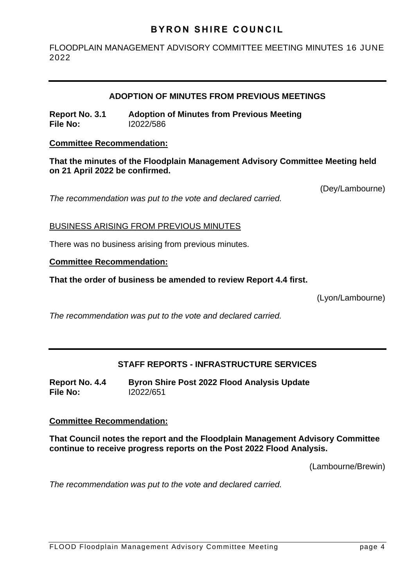FLOODPLAIN MANAGEMENT ADVISORY COMMITTEE MEETING MINUTES 16 JUNE 2022

## **ADOPTION OF MINUTES FROM PREVIOUS MEETINGS**

**Report No. 3.1 Adoption of Minutes from Previous Meeting File No:** I2022/586

#### **Committee Recommendation:**

**That the minutes of the Floodplain Management Advisory Committee Meeting held on 21 April 2022 be confirmed.** 

*The recommendation was put to the vote and declared carried.*

(Dey/Lambourne)

## BUSINESS ARISING FROM PREVIOUS MINUTES

There was no business arising from previous minutes.

## **Committee Recommendation:**

**That the order of business be amended to review Report 4.4 first.**

(Lyon/Lambourne)

*The recommendation was put to the vote and declared carried.*

# **STAFF REPORTS - INFRASTRUCTURE SERVICES**

**Report No. 4.4 Byron Shire Post 2022 Flood Analysis Update File No:** I2022/651

## **Committee Recommendation:**

**That Council notes the report and the Floodplain Management Advisory Committee continue to receive progress reports on the Post 2022 Flood Analysis.**

(Lambourne/Brewin)

*The recommendation was put to the vote and declared carried.*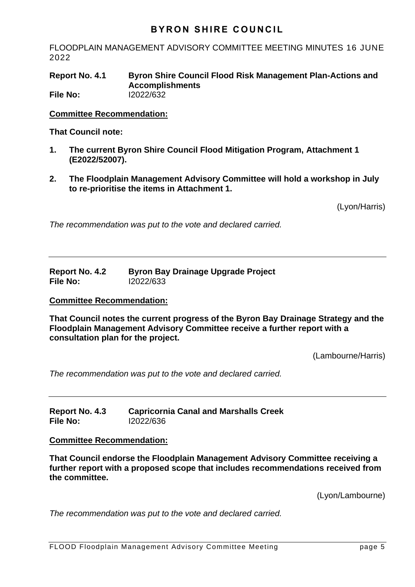FLOODPLAIN MANAGEMENT ADVISORY COMMITTEE MEETING MINUTES 16 JUNE 2022

**Report No. 4.1 Byron Shire Council Flood Risk Management Plan-Actions and Accomplishments File No:** I2022/632

**Committee Recommendation:** 

**That Council note:**

- **1. The current Byron Shire Council Flood Mitigation Program, Attachment 1 (E2022/52007).**
- **2. The Floodplain Management Advisory Committee will hold a workshop in July to re-prioritise the items in Attachment 1.**

(Lyon/Harris)

*The recommendation was put to the vote and declared carried.*

**Report No. 4.2 Byron Bay Drainage Upgrade Project File No:** I2022/633

#### **Committee Recommendation:**

**That Council notes the current progress of the Byron Bay Drainage Strategy and the Floodplain Management Advisory Committee receive a further report with a consultation plan for the project.**

(Lambourne/Harris)

*The recommendation was put to the vote and declared carried.*

**Report No. 4.3 Capricornia Canal and Marshalls Creek File No:** I2022/636

#### **Committee Recommendation:**

**That Council endorse the Floodplain Management Advisory Committee receiving a further report with a proposed scope that includes recommendations received from the committee.**

(Lyon/Lambourne)

*The recommendation was put to the vote and declared carried.*